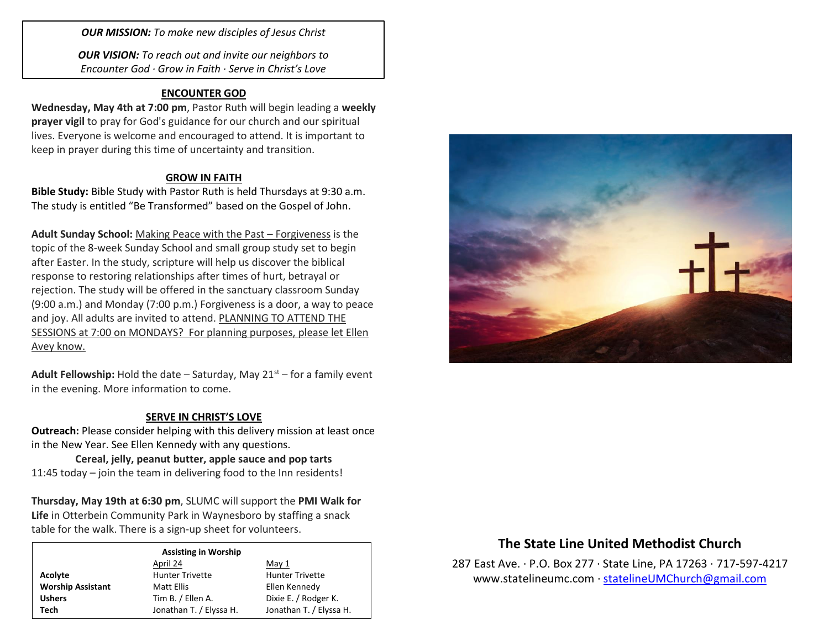*OUR MISSION: To make new disciples of Jesus Christ*

*OUR VISION: To reach out and invite our neighbors to Encounter God · Grow in Faith · Serve in Christ's Love*

## **ENCOUNTER GOD**

**Wednesday, May 4th at 7:00 pm**, Pastor Ruth will begin leading a **weekly prayer vigil** to pray for God's guidance for our church and our spiritual lives. Everyone is welcome and encouraged to attend. It is important to keep in prayer during this time of uncertainty and transition.

## **GROW IN FAITH**

**Bible Study:** Bible Study with Pastor Ruth is held Thursdays at 9:30 a.m. The study is entitled "Be Transformed" based on the Gospel of John.

**Adult Sunday School:** Making Peace with the Past – Forgiveness is the topic of the 8-week Sunday School and small group study set to begin after Easter. In the study, scripture will help us discover the biblical response to restoring relationships after times of hurt, betrayal or rejection. The study will be offered in the sanctuary classroom Sunday (9:00 a.m.) and Monday (7:00 p.m.) Forgiveness is a door, a way to peace and joy. All adults are invited to attend. PLANNING TO ATTEND THE SESSIONS at 7:00 on MONDAYS? For planning purposes, please let Ellen Avey know.

**Adult Fellowship:** Hold the date – Saturday, May  $21<sup>st</sup>$  – for a family event in the evening. More information to come.

### **SERVE IN CHRIST'S LOVE**

**Outreach:** Please consider helping with this delivery mission at least once in the New Year. See Ellen Kennedy with any questions.

**Cereal, jelly, peanut butter, apple sauce and pop tarts** 11:45 today – join the team in delivering food to the Inn residents!

**Thursday, May 19th at 6:30 pm**, SLUMC will support the **PMI Walk for Life** in Otterbein Community Park in Waynesboro by staffing a snack table for the walk. There is a sign-up sheet for volunteers.

#### **Assisting in Worship**

|                          | April 24                | May 1                   |
|--------------------------|-------------------------|-------------------------|
| Acolyte                  | <b>Hunter Trivette</b>  | <b>Hunter Trivette</b>  |
| <b>Worship Assistant</b> | Matt Ellis              | Ellen Kennedy           |
| <b>Ushers</b>            | Tim B. / Ellen A.       | Dixie E. / Rodger K.    |
| Tech                     | Jonathan T. / Elyssa H. | Jonathan T. / Elyssa H. |



# **The State Line United Methodist Church**

287 East Ave. · P.O. Box 277 · State Line, PA 17263 · 717-597-4217 [www.statelineumc.com](http://www.statelineumc.com/) · [statelineUMChurch@gmail.com](mailto:statelineUMChurch@gmail.com)